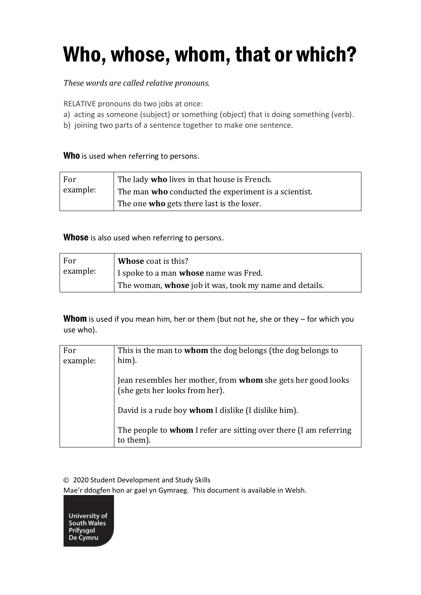# Who, whose, whom, that or which?

#### *These words are called relative pronouns.*

RELATIVE pronouns do two jobs at once:

- a) acting as someone (subject) or something (object) that is doing something (verb).
- b) joining two parts of a sentence together to make one sentence.

#### Who is used when referring to persons.

| For      | The lady who lives in that house is French.                 |
|----------|-------------------------------------------------------------|
| example: | The man <b>who</b> conducted the experiment is a scientist. |
|          | The one <b>who</b> gets there last is the loser.            |

Whose is also used when referring to persons.

| For      | Whose coat is this?                                    |
|----------|--------------------------------------------------------|
| example: | I spoke to a man <b>whose</b> name was Fred.           |
|          | The woman, whose job it was, took my name and details. |

**Whom** is used if you mean him, her or them (but not he, she or they  $-$  for which you use who).

| For      | This is the man to <b>whom</b> the dog belongs (the dog belongs to                             |
|----------|------------------------------------------------------------------------------------------------|
| example: | him).                                                                                          |
|          | Jean resembles her mother, from whom she gets her good looks<br>(she gets her looks from her). |
|          | David is a rude boy whom I dislike (I dislike him).                                            |
|          | The people to <b>whom</b> I refer are sitting over there (I am referring<br>to them).          |

© 2020 Student Development and Study Skills

Mae'r ddogfen hon ar gael yn Gymraeg. This document is available in Welsh.

**University of** South Wales Prifysgol De Cymru